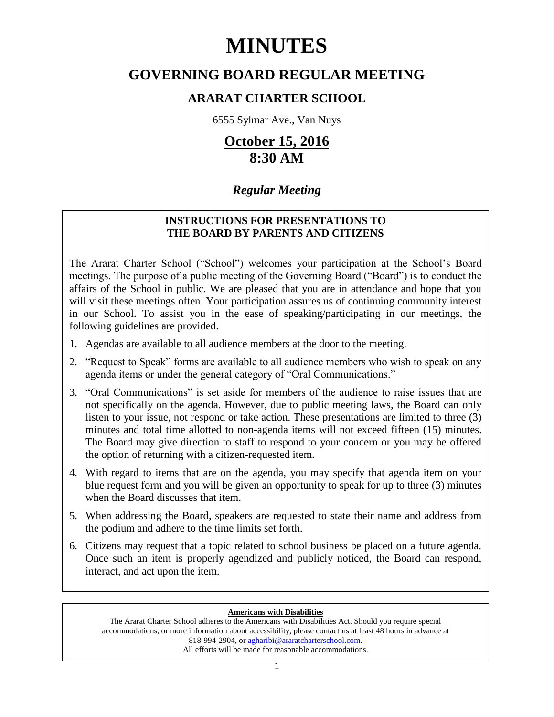# **MINUTES**

# **GOVERNING BOARD REGULAR MEETING**

# **ARARAT CHARTER SCHOOL**

6555 Sylmar Ave., Van Nuys

# **October 15, 2016 8:30 AM**

# *Regular Meeting*

# **INSTRUCTIONS FOR PRESENTATIONS TO THE BOARD BY PARENTS AND CITIZENS**

The Ararat Charter School ("School") welcomes your participation at the School's Board meetings. The purpose of a public meeting of the Governing Board ("Board") is to conduct the affairs of the School in public. We are pleased that you are in attendance and hope that you will visit these meetings often. Your participation assures us of continuing community interest in our School. To assist you in the ease of speaking/participating in our meetings, the following guidelines are provided.

- 1. Agendas are available to all audience members at the door to the meeting.
- 2. "Request to Speak" forms are available to all audience members who wish to speak on any agenda items or under the general category of "Oral Communications."
- 3. "Oral Communications" is set aside for members of the audience to raise issues that are not specifically on the agenda. However, due to public meeting laws, the Board can only listen to your issue, not respond or take action. These presentations are limited to three (3) minutes and total time allotted to non-agenda items will not exceed fifteen (15) minutes. The Board may give direction to staff to respond to your concern or you may be offered the option of returning with a citizen-requested item.
- 4. With regard to items that are on the agenda, you may specify that agenda item on your blue request form and you will be given an opportunity to speak for up to three (3) minutes when the Board discusses that item.
- 5. When addressing the Board, speakers are requested to state their name and address from the podium and adhere to the time limits set forth.
- 6. Citizens may request that a topic related to school business be placed on a future agenda. Once such an item is properly agendized and publicly noticed, the Board can respond, interact, and act upon the item.

# **Americans with Disabilities**

The Ararat Charter School adheres to the Americans with Disabilities Act. Should you require special accommodations, or more information about accessibility, please contact us at least 48 hours in advance at 818-994-2904, or [agharibi@araratcharterschool.com.](mailto:agharibi@araratcharterschool.com)  All efforts will be made for reasonable accommodations.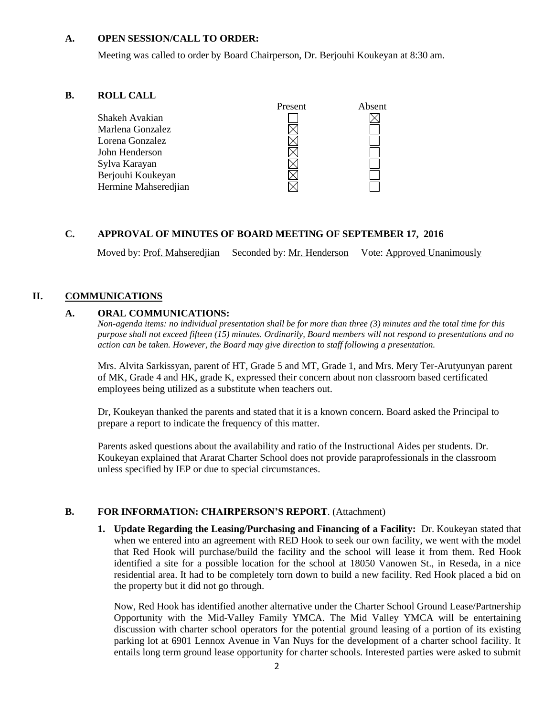#### **A. OPEN SESSION/CALL TO ORDER:**

Meeting was called to order by Board Chairperson, Dr. Berjouhi Koukeyan at 8:30 am.

#### **B. ROLL CALL**



# **C. APPROVAL OF MINUTES OF BOARD MEETING OF SEPTEMBER 17, 2016**

Moved by: Prof. Mahseredjian Seconded by: Mr. Henderson Vote: Approved Unanimously

### **II. COMMUNICATIONS**

#### **A. ORAL COMMUNICATIONS:**

*Non-agenda items: no individual presentation shall be for more than three (3) minutes and the total time for this purpose shall not exceed fifteen (15) minutes. Ordinarily, Board members will not respond to presentations and no action can be taken. However, the Board may give direction to staff following a presentation.*

Mrs. Alvita Sarkissyan, parent of HT, Grade 5 and MT, Grade 1, and Mrs. Mery Ter-Arutyunyan parent of MK, Grade 4 and HK, grade K, expressed their concern about non classroom based certificated employees being utilized as a substitute when teachers out.

Dr, Koukeyan thanked the parents and stated that it is a known concern. Board asked the Principal to prepare a report to indicate the frequency of this matter.

Parents asked questions about the availability and ratio of the Instructional Aides per students. Dr. Koukeyan explained that Ararat Charter School does not provide paraprofessionals in the classroom unless specified by IEP or due to special circumstances.

#### **B. FOR INFORMATION: CHAIRPERSON'S REPORT**. (Attachment)

**1. Update Regarding the Leasing/Purchasing and Financing of a Facility:** Dr. Koukeyan stated that when we entered into an agreement with RED Hook to seek our own facility, we went with the model that Red Hook will purchase/build the facility and the school will lease it from them. Red Hook identified a site for a possible location for the school at 18050 Vanowen St., in Reseda, in a nice residential area. It had to be completely torn down to build a new facility. Red Hook placed a bid on the property but it did not go through.

Now, Red Hook has identified another alternative under the Charter School Ground Lease/Partnership Opportunity with the Mid-Valley Family YMCA. The Mid Valley YMCA will be entertaining discussion with charter school operators for the potential ground leasing of a portion of its existing parking lot at 6901 Lennox Avenue in Van Nuys for the development of a charter school facility. It entails long term ground lease opportunity for charter schools. Interested parties were asked to submit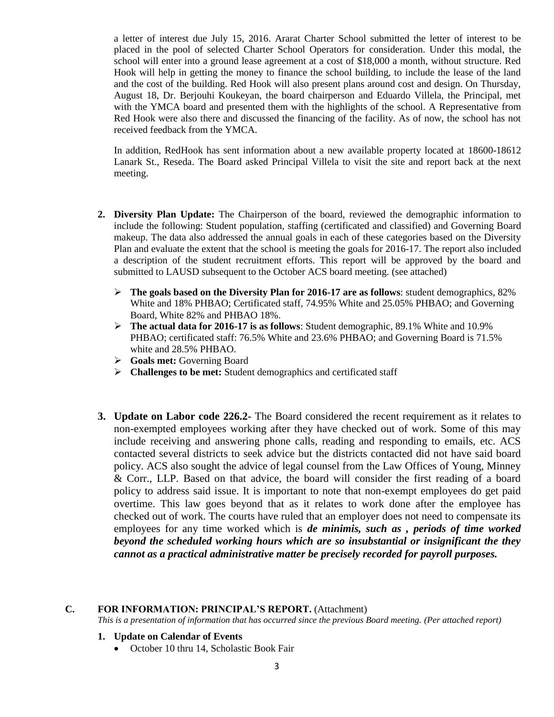a letter of interest due July 15, 2016. Ararat Charter School submitted the letter of interest to be placed in the pool of selected Charter School Operators for consideration. Under this modal, the school will enter into a ground lease agreement at a cost of \$18,000 a month, without structure. Red Hook will help in getting the money to finance the school building, to include the lease of the land and the cost of the building. Red Hook will also present plans around cost and design. On Thursday, August 18, Dr. Berjouhi Koukeyan, the board chairperson and Eduardo Villela, the Principal, met with the YMCA board and presented them with the highlights of the school. A Representative from Red Hook were also there and discussed the financing of the facility. As of now, the school has not received feedback from the YMCA.

In addition, RedHook has sent information about a new available property located at 18600-18612 Lanark St., Reseda. The Board asked Principal Villela to visit the site and report back at the next meeting.

- **2. Diversity Plan Update:** The Chairperson of the board, reviewed the demographic information to include the following: Student population, staffing (certificated and classified) and Governing Board makeup. The data also addressed the annual goals in each of these categories based on the Diversity Plan and evaluate the extent that the school is meeting the goals for 2016-17. The report also included a description of the student recruitment efforts. This report will be approved by the board and submitted to LAUSD subsequent to the October ACS board meeting. (see attached)
	- **The goals based on the Diversity Plan for 2016-17 are as follows**: student demographics, 82% White and 18% PHBAO; Certificated staff, 74.95% White and 25.05% PHBAO; and Governing Board, White 82% and PHBAO 18%.
	- **The actual data for 2016-17 is as follows**: Student demographic, 89.1% White and 10.9% PHBAO; certificated staff: 76.5% White and 23.6% PHBAO; and Governing Board is 71.5% white and 28.5% PHBAO.
	- **Goals met:** Governing Board
	- **EXECUTE:** Student demographics and certificated staff
- **3. Update on Labor code 226.2-** The Board considered the recent requirement as it relates to non-exempted employees working after they have checked out of work. Some of this may include receiving and answering phone calls, reading and responding to emails, etc. ACS contacted several districts to seek advice but the districts contacted did not have said board policy. ACS also sought the advice of legal counsel from the Law Offices of Young, Minney & Corr., LLP. Based on that advice, the board will consider the first reading of a board policy to address said issue. It is important to note that non-exempt employees do get paid overtime. This law goes beyond that as it relates to work done after the employee has checked out of work. The courts have ruled that an employer does not need to compensate its employees for any time worked which is *de minimis, such as , periods of time worked beyond the scheduled working hours which are so insubstantial or insignificant the they cannot as a practical administrative matter be precisely recorded for payroll purposes.*

#### **C. FOR INFORMATION: PRINCIPAL'S REPORT.** (Attachment)

*This is a presentation of information that has occurred since the previous Board meeting. (Per attached report)*

#### **1. Update on Calendar of Events**

• October 10 thru 14, Scholastic Book Fair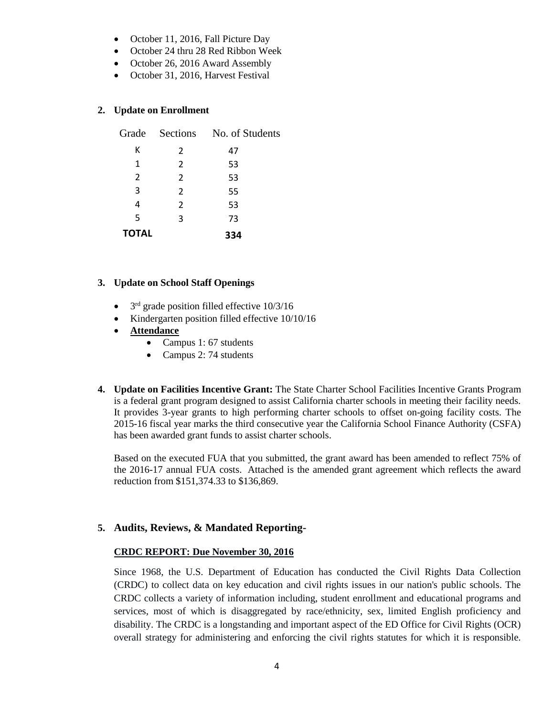- October 11, 2016, Fall Picture Day
- October 24 thru 28 Red Ribbon Week
- October 26, 2016 Award Assembly
- October 31, 2016, Harvest Festival

### **2. Update on Enrollment**

|              |                | Grade Sections No. of Students |  |
|--------------|----------------|--------------------------------|--|
| К            | $\mathcal{P}$  | 47                             |  |
| 1            | $\mathcal{P}$  | 53                             |  |
| 2            | $\overline{2}$ | 53                             |  |
| 3            | $\mathcal{P}$  | 55                             |  |
| 4            | $\mathcal{P}$  | 53                             |  |
| 5            | 3              | 73                             |  |
| <b>TOTAL</b> |                | 334                            |  |

#### **3. Update on School Staff Openings**

- $\bullet$  $3<sup>rd</sup>$  grade position filled effective  $10/3/16$
- Kindergarten position filled effective 10/10/16
- **Attendance**
	- Campus 1: 67 students
	- Campus 2: 74 students
- **4. Update on Facilities Incentive Grant:** The State Charter School Facilities Incentive Grants Program is a federal grant program designed to assist California charter schools in meeting their facility needs. It provides 3-year grants to high performing charter schools to offset on-going facility costs. The 2015-16 fiscal year marks the third consecutive year the California School Finance Authority (CSFA) has been awarded grant funds to assist charter schools.

Based on the executed FUA that you submitted, the grant award has been amended to reflect 75% of the 2016-17 annual FUA costs. Attached is the amended grant agreement which reflects the award reduction from \$151,374.33 to \$136,869.

# **5. Audits, Reviews, & Mandated Reporting-**

#### **CRDC REPORT: Due November 30, 2016**

Since 1968, the U.S. Department of Education has conducted the Civil Rights Data Collection (CRDC) to collect data on key education and civil rights issues in our nation's public schools. The CRDC collects a variety of information including, student enrollment and educational programs and services, most of which is disaggregated by race/ethnicity, sex, limited English proficiency and disability. The CRDC is a longstanding and important aspect of the ED Office for Civil Rights (OCR) overall strategy for administering and enforcing the civil rights statutes for which it is responsible.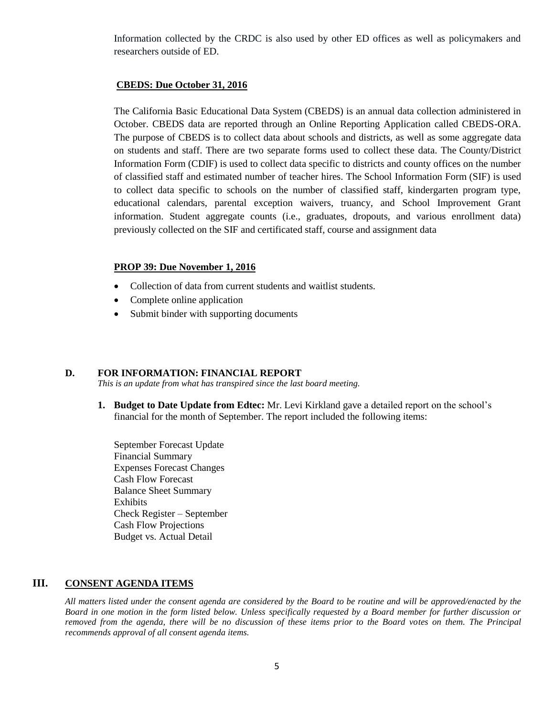Information collected by the CRDC is also used by other ED offices as well as policymakers and researchers outside of ED.

#### **CBEDS: Due October 31, 2016**

The California Basic Educational Data System (CBEDS) is an annual data collection administered in October. CBEDS data are reported through an Online Reporting Application called CBEDS-ORA. The purpose of CBEDS is to collect data about schools and districts, as well as some aggregate data on students and staff. There are two separate forms used to collect these data. The County/District Information Form (CDIF) is used to collect data specific to districts and county offices on the number of classified staff and estimated number of teacher hires. The School Information Form (SIF) is used to collect data specific to schools on the number of classified staff, kindergarten program type, educational calendars, parental exception waivers, truancy, and School Improvement Grant information. Student aggregate counts (i.e., graduates, dropouts, and various enrollment data) previously collected on the SIF and certificated staff, course and assignment data

#### **PROP 39: Due November 1, 2016**

- Collection of data from current students and waitlist students.
- Complete online application
- Submit binder with supporting documents

#### **D. FOR INFORMATION: FINANCIAL REPORT**

*This is an update from what has transpired since the last board meeting.*

**1. Budget to Date Update from Edtec:** Mr. Levi Kirkland gave a detailed report on the school's financial for the month of September. The report included the following items:

September Forecast Update Financial Summary Expenses Forecast Changes Cash Flow Forecast Balance Sheet Summary Exhibits Check Register – September Cash Flow Projections Budget vs. Actual Detail

### **III. CONSENT AGENDA ITEMS**

*All matters listed under the consent agenda are considered by the Board to be routine and will be approved/enacted by the Board in one motion in the form listed below. Unless specifically requested by a Board member for further discussion or removed from the agenda, there will be no discussion of these items prior to the Board votes on them. The Principal recommends approval of all consent agenda items.*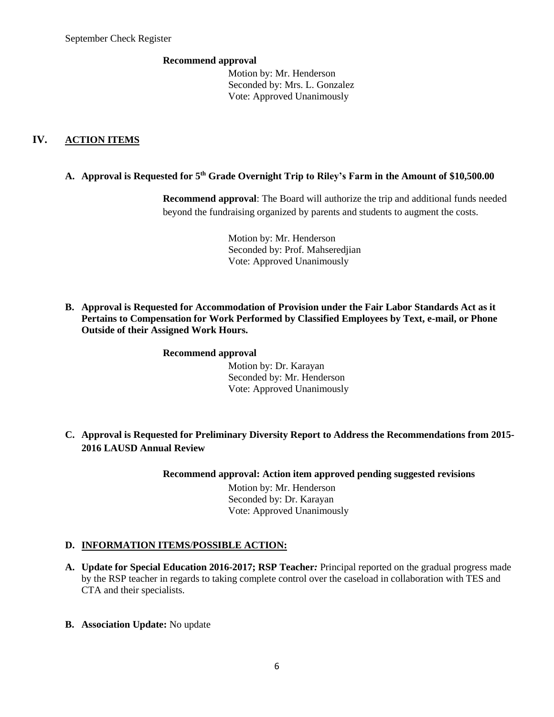#### **Recommend approval**

 Motion by: Mr. Henderson Seconded by: Mrs. L. Gonzalez Vote: Approved Unanimously

# **IV. ACTION ITEMS**

### **A. Approval is Requested for 5 th Grade Overnight Trip to Riley's Farm in the Amount of \$10,500.00**

**Recommend approval**: The Board will authorize the trip and additional funds needed beyond the fundraising organized by parents and students to augment the costs.

> Motion by: Mr. Henderson Seconded by: Prof. Mahseredjian Vote: Approved Unanimously

**B. Approval is Requested for Accommodation of Provision under the Fair Labor Standards Act as it Pertains to Compensation for Work Performed by Classified Employees by Text, e-mail, or Phone Outside of their Assigned Work Hours.**

#### **Recommend approval**

 Motion by: Dr. Karayan Seconded by: Mr. Henderson Vote: Approved Unanimously

**C. Approval is Requested for Preliminary Diversity Report to Address the Recommendations from 2015- 2016 LAUSD Annual Review**

**Recommend approval: Action item approved pending suggested revisions**

 Motion by: Mr. Henderson Seconded by: Dr. Karayan Vote: Approved Unanimously

# **D. INFORMATION ITEMS**/**POSSIBLE ACTION:**

- **A. Update for Special Education 2016-2017; RSP Teacher***:* Principal reported on the gradual progress made by the RSP teacher in regards to taking complete control over the caseload in collaboration with TES and CTA and their specialists.
- **B. Association Update:** No update